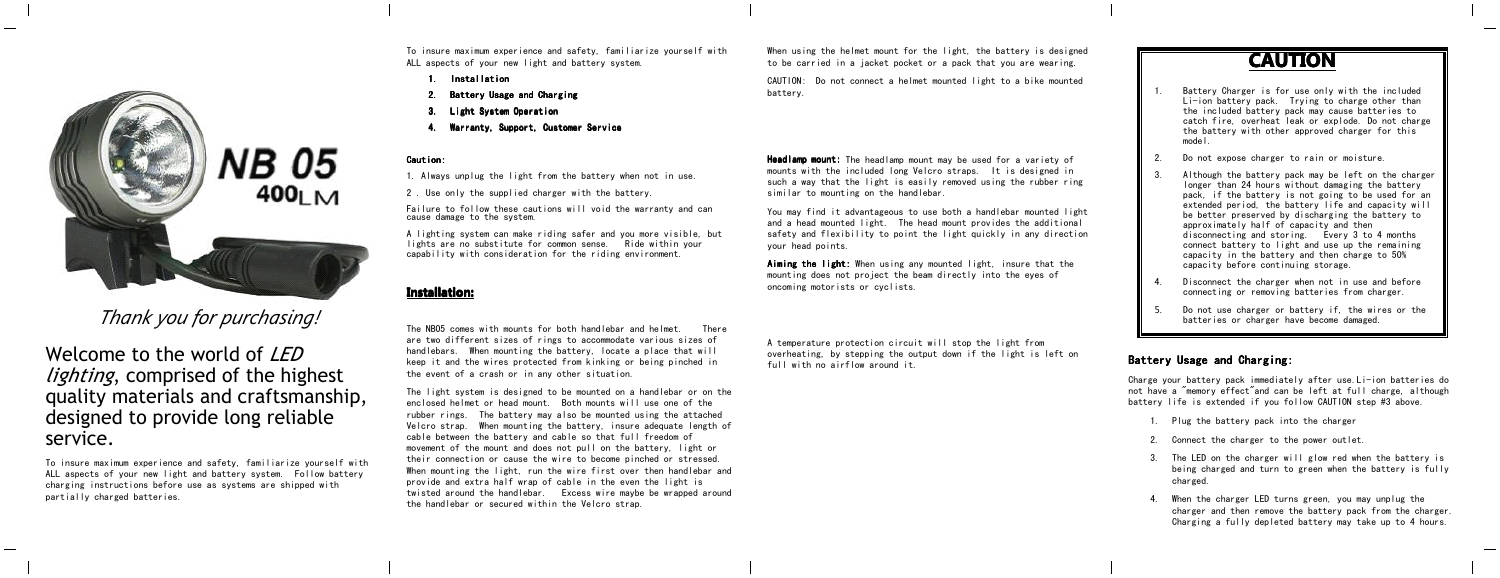**NB 05**  $400<sub>1</sub>$  M

*Thank you for purchasing!*

Welcome to the world of *LED lighting*, comprised of the highest quality materials and craftsmanship, designed to provide long reliable service.

To insure maximum experience and safety, familiarize yourself with ALL aspects of your new light and battery system. Follow battery charging instructions before use as systems are shipped with partially charged batteries.

To insure maximum experience and safety, familiarize yourself with ALL aspects of your new light and battery system.

- 1.**Installation**
- 2.Battery Usage and Charging
- 3.**Light System Operation**
- 4.Warranty, Support, Customer Service

## Caution: Caution:

1. Always unplug the light from the battery when not in use.

2 . Use only the supplied charger with the battery.

Failure to follow these cautions will void the warranty and can cause damage to the system.

A lighting system can make riding safer and you more visible, but lights are no substitute for common sense. Ride within your capability with consideration for the riding environment.

# **Installation: Installation:**

The NB05 comes with mounts for both handlebar and helmet. There are two different sizes of rings to accommodate various sizes of handlebars. When mounting the battery, locate <sup>a</sup> place that will keep it and the wires protected from kinking or being pinched in the event of <sup>a</sup> crash or in any other situation.

The light system is designed to be mounted on <sup>a</sup> handlebar or on the enclosed helmet or head mount. Both mounts will use one of the rubber rings. The battery may also be mounted using the attached Velcro strap. When mounting the battery, insure adequate length of cable between the battery and cable so that full freedom of movement of the mount and does not pull on the battery, light or their connection or cause the wire to become pinched or stressed. When mounting the light, run the wire first over then handlebar and provide and extra half wrap of cable in the even the light is twisted around the handlebar. Excess wire maybe be wrapped around the handlebar or secured within the Velcro strap.

When using the helmet mount for the light, the battery is designed to be carried in <sup>a</sup> jacket pocket or <sup>a</sup> pack that you are wearing.

CAUTION: Do not connect <sup>a</sup> helmet mounted light to <sup>a</sup> bike mounted battery.

**Headlamp mount:** The headlamp mount may be used for a variety of mounts with the included long Velcro straps. It is designed in such <sup>a</sup> way that the light is easily removed using the rubber ring similar to mounting on the handlebar.

You may find it advantageous to use both <sup>a</sup> handlebar mounted light and <sup>a</sup> head mounted light. The head mount provides the additional safety and flexibility to point the light quickly in any direction your head points.

Aiming the light: When using any mounted light, insure that the mounting does not project the beam directly into the eyes of oncoming motorists or cyclists.

A temperature protection circuit will stop the light from overheating, by stepping the output down if the light is left on full with no airflow around it.

**CAUTION CAUTION CAUTION**

- Battery Charger is for use only with the included Li-ion battery pack. Trying to charge other than the included battery pack may cause batteries to catch fire, overheat leak or explode. Do not charge the battery with other approved charger for this model.
- $\overline{2}$ Do not expose charger to rain or moisture.
- 3. Although the battery pack may be left on the charger longer than 24 hours without damaging the battery pack, if the battery is not going to be used for an extended period, the battery life and capacity will be better preserved by discharging the battery to approximately half of capacity and then disconnecting and storing. Every 3 to 4 months connect battery to light and use up the remaining capacity in the battery and then charge to 50% capacity before continuing storage.
- 4. Disconnect the charger when not in use and before connecting or removing batteries from charger.
- 5. Do not use charger or battery if, the wires or the batteries or charger have become damaged.

# Battery Usage and Charging:

1.

Charge your battery pack immediately after use.Li-ion batteries do not have <sup>a</sup> "memory effect"and can be left at full charge, although battery life is extended if you follow CAUTION step #3 above.

- 1. Plug the battery pack into the charger
- 2. Connect the charger to the power outlet.
- 3. The LED on the charger will glow red when the battery is being charged and turn to green when the battery is fully charged.
- 4. When the charger LED turns green, you may unplug the charger and then remove the battery pack from the charger. Charging <sup>a</sup> fully depleted battery may take up to 4 hours.